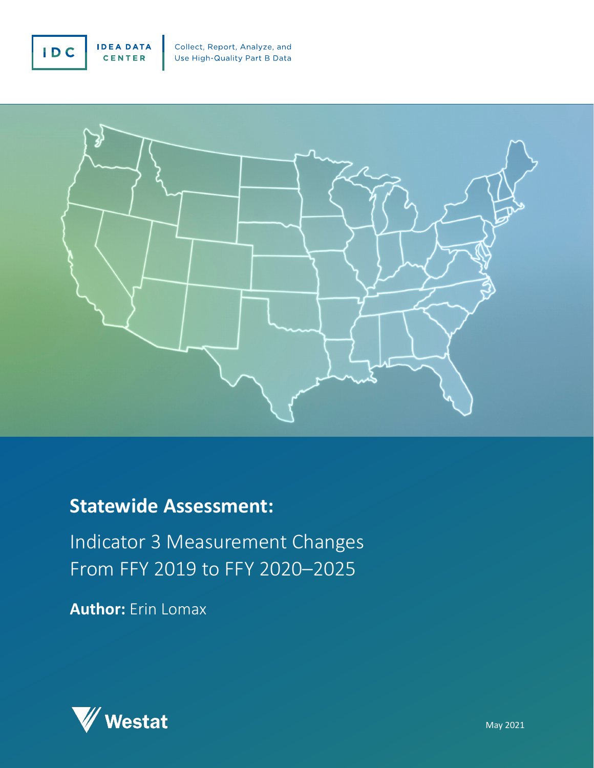



## **Statewide Assessment:**

Indicator 3 Measurement Changes From FFY 2019 to FFY 2020–2025

**Author:** Erin Lomax

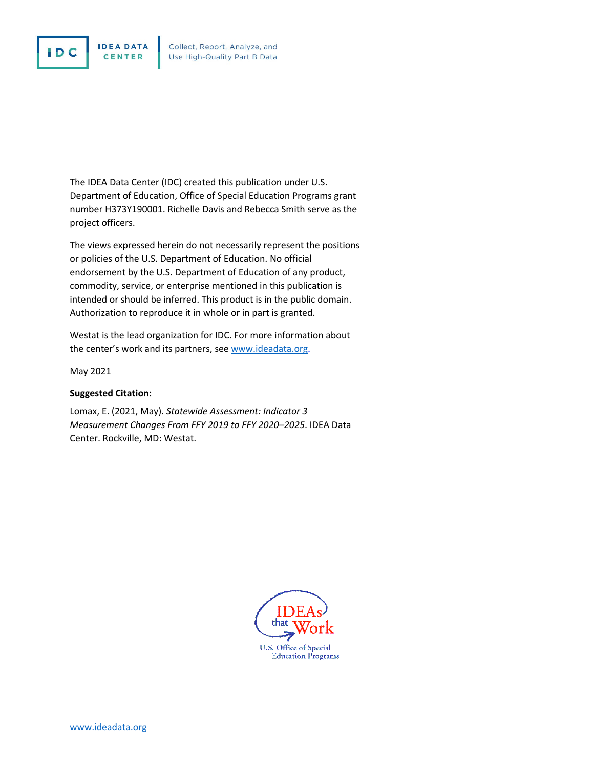



The IDEA Data Center (IDC) created this publication under U.S. Department of Education, Office of Special Education Programs grant number H373Y190001. Richelle Davis and Rebecca Smith serve as the project officers.

The views expressed herein do not necessarily represent the positions or policies of the U.S. Department of Education. No official endorsement by the U.S. Department of Education of any product, commodity, service, or enterprise mentioned in this publication is intended or should be inferred. This product is in the public domain. Authorization to reproduce it in whole or in part is granted.

Westat is the lead organization for IDC. For more information about the center's work and its partners, see [www.ideadata.org.](http://www.ideadata.org/)

May 2021

#### **Suggested Citation:**

Lomax, E. (2021, May). *Statewide Assessment: Indicator 3 Measurement Changes From FFY 2019 to FFY 2020–2025*. IDEA Data Center. Rockville, MD: Westat.

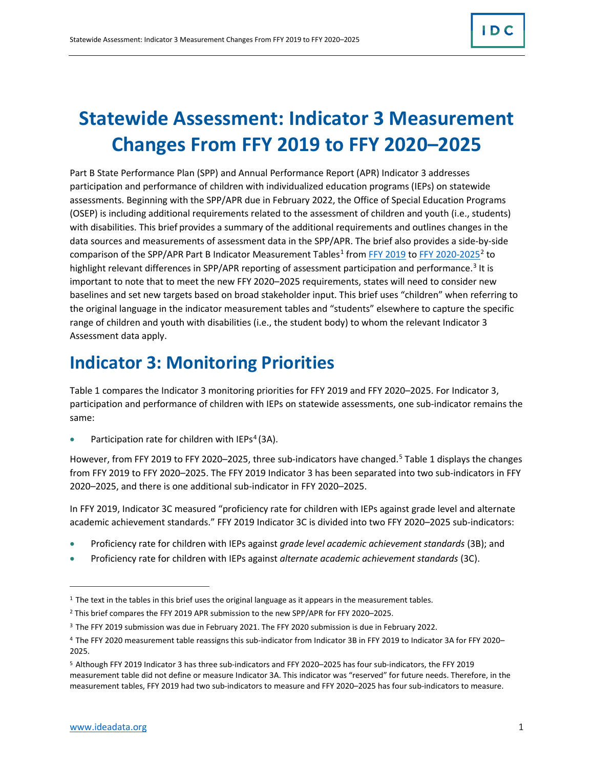# **Statewide Assessment: Indicator 3 Measurement Changes From FFY 2019 to FFY 2020–2025**

Part B State Performance Plan (SPP) and Annual Performance Report (APR) Indicator 3 addresses participation and performance of children with individualized education programs (IEPs) on statewide assessments. Beginning with the SPP/APR due in February 2022, the Office of Special Education Programs (OSEP) is including additional requirements related to the assessment of children and youth (i.e., students) with disabilities. This brief provides a summary of the additional requirements and outlines changes in the data sources and measurements of assessment data in the SPP/APR. The brief also provides a side-by-side comparison of the SPP/APR Part B Indicator Measurement Tables<sup>[1](#page-2-0)</sup> from [FFY 2019](https://sites.ed.gov/idea/files/1820-0624_Part_B_SPP_APR_Measurement_Table_2021_final.pdf) to [FFY 2020-2025](https://sites.ed.gov/idea/files/1820-0624_FFY20Part_B_SPPAPR_Measurement_TableFINAL.pdf)<sup>[2](#page-2-1)</sup> to highlight relevant differences in SPP/APR reporting of assessment participation and performance.<sup>[3](#page-2-2)</sup> It is important to note that to meet the new FFY 2020–2025 requirements, states will need to consider new baselines and set new targets based on broad stakeholder input. This brief uses "children" when referring to the original language in the indicator measurement tables and "students" elsewhere to capture the specific range of children and youth with disabilities (i.e., the student body) to whom the relevant Indicator 3 Assessment data apply.

## **Indicator 3: Monitoring Priorities**

Table 1 compares the Indicator 3 monitoring priorities for FFY 2019 and FFY 2020–2025. For Indicator 3, participation and performance of children with IEPs on statewide assessments, one sub-indicator remains the same:

Participation rate for children with  $IEPs<sup>4</sup>$  $IEPs<sup>4</sup>$  $IEPs<sup>4</sup>$  (3A).

However, from FFY 2019 to FFY 2020-2025, three sub-indicators have changed.<sup>5</sup> Table 1 displays the changes from FFY 2019 to FFY 2020–2025. The FFY 2019 Indicator 3 has been separated into two sub-indicators in FFY 2020–2025, and there is one additional sub-indicator in FFY 2020–2025.

In FFY 2019, Indicator 3C measured "proficiency rate for children with IEPs against grade level and alternate academic achievement standards." FFY 2019 Indicator 3C is divided into two FFY 2020–2025 sub-indicators:

- Proficiency rate for children with IEPs against *grade level academic achievement standards* (3B); and
- Proficiency rate for children with IEPs against *alternate academic achievement standards* (3C).

 $\overline{a}$ 

<span id="page-2-0"></span><sup>&</sup>lt;sup>1</sup> The text in the tables in this brief uses the original language as it appears in the measurement tables.

<span id="page-2-1"></span><sup>2</sup> This brief compares the FFY 2019 APR submission to the new SPP/APR for FFY 2020–2025.

<span id="page-2-2"></span><sup>&</sup>lt;sup>3</sup> The FFY 2019 submission was due in February 2021. The FFY 2020 submission is due in February 2022.

<span id="page-2-3"></span><sup>4</sup> The FFY 2020 measurement table reassigns this sub-indicator from Indicator 3B in FFY 2019 to Indicator 3A for FFY 2020– 2025.

<span id="page-2-4"></span><sup>5</sup> Although FFY 2019 Indicator 3 has three sub-indicators and FFY 2020–2025 has four sub-indicators, the FFY 2019 measurement table did not define or measure Indicator 3A. This indicator was "reserved" for future needs. Therefore, in the measurement tables, FFY 2019 had two sub-indicators to measure and FFY 2020–2025 has four sub-indicators to measure.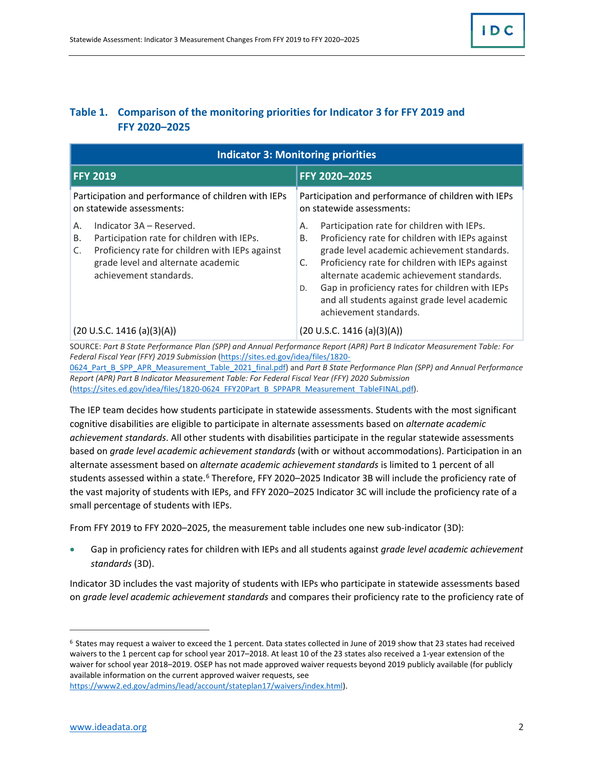#### **Table 1. Comparison of the monitoring priorities for Indicator 3 for FFY 2019 and FFY 2020–2025**

| <b>Indicator 3: Monitoring priorities</b>                                                                                                                                                                   |                                                                                                                                                                                                                                                                                                                                                                                                    |
|-------------------------------------------------------------------------------------------------------------------------------------------------------------------------------------------------------------|----------------------------------------------------------------------------------------------------------------------------------------------------------------------------------------------------------------------------------------------------------------------------------------------------------------------------------------------------------------------------------------------------|
| <b>FFY 2019</b>                                                                                                                                                                                             | FFY 2020-2025                                                                                                                                                                                                                                                                                                                                                                                      |
| Participation and performance of children with IEPs<br>on statewide assessments:                                                                                                                            | Participation and performance of children with IEPs<br>on statewide assessments:                                                                                                                                                                                                                                                                                                                   |
| Indicator 3A – Reserved.<br>А.<br>Participation rate for children with IEPs.<br>В.<br>Proficiency rate for children with IEPs against<br>C.<br>grade level and alternate academic<br>achievement standards. | Participation rate for children with IEPs.<br>А.<br>Proficiency rate for children with IEPs against<br>В.<br>grade level academic achievement standards.<br>Proficiency rate for children with IEPs against<br>C.<br>alternate academic achievement standards.<br>Gap in proficiency rates for children with IEPs<br>D.<br>and all students against grade level academic<br>achievement standards. |
| (20 U.S.C. 1416 (a)(3)(A))                                                                                                                                                                                  | (20 U.S.C. 1416 (a)(3)(A))<br>$R \circ \iota \circ \iota$ at $\iota$ and the $\iota$ is a structure of the set of $\iota$ is a set of $\iota$                                                                                                                                                                                                                                                      |

SOURCE: *Part B State Performance Plan (SPP) and Annual Performance Report (APR) Part B Indicator Measurement Table: For Federal Fiscal Year (FFY) 2019 Submission* [\(https://sites.ed.gov/idea/files/1820-](https://sites.ed.gov/idea/files/1820-0624_Part_B_SPP_APR_Measurement_Table_2021_final.pdf) [0624\\_Part\\_B\\_SPP\\_APR\\_Measurement\\_Table\\_2021\\_final.pdf\)](https://sites.ed.gov/idea/files/1820-0624_Part_B_SPP_APR_Measurement_Table_2021_final.pdf) and *Part B State Performance Plan (SPP) and Annual Performance* 

*Report (APR) Part B Indicator Measurement Table: For Federal Fiscal Year (FFY) 2020 Submission* [\(https://sites.ed.gov/idea/files/1820-0624\\_FFY20Part\\_B\\_SPPAPR\\_Measurement\\_TableFINAL.pdf\)](https://sites.ed.gov/idea/files/1820-0624_FFY20Part_B_SPPAPR_Measurement_TableFINAL.pdf).

The IEP team decides how students participate in statewide assessments. Students with the most significant cognitive disabilities are eligible to participate in alternate assessments based on *alternate academic achievement standards*. All other students with disabilities participate in the regular statewide assessments based on *grade level academic achievement standards* (with or without accommodations). Participation in an alternate assessment based on *alternate academic achievement standards* is limited to 1 percent of all students assessed within a state.<sup>[6](#page-3-0)</sup> Therefore, FFY 2020–2025 Indicator 3B will include the proficiency rate of the vast majority of students with IEPs, and FFY 2020–2025 Indicator 3C will include the proficiency rate of a small percentage of students with IEPs.

From FFY 2019 to FFY 2020–2025, the measurement table includes one new sub-indicator (3D):

• Gap in proficiency rates for children with IEPs and all students against *grade level academic achievement standards* (3D).

Indicator 3D includes the vast majority of students with IEPs who participate in statewide assessments based on *grade level academic achievement standards* and compares their proficiency rate to the proficiency rate of

<span id="page-3-0"></span><sup>6</sup> States may request a waiver to exceed the 1 percent. Data states collected in June of 2019 show that 23 states had received waivers to the 1 percent cap for school year 2017–2018. At least 10 of the 23 states also received a 1-year extension of the waiver for school year 2018–2019. OSEP has not made approved waiver requests beyond 2019 publicly available (for publicly available information on the current approved waiver requests, see

 $\overline{a}$ 

[https://www2.ed.gov/admins/lead/account/stateplan17/waivers/index.html\)](https://www2.ed.gov/admins/lead/account/stateplan17/waivers/index.html).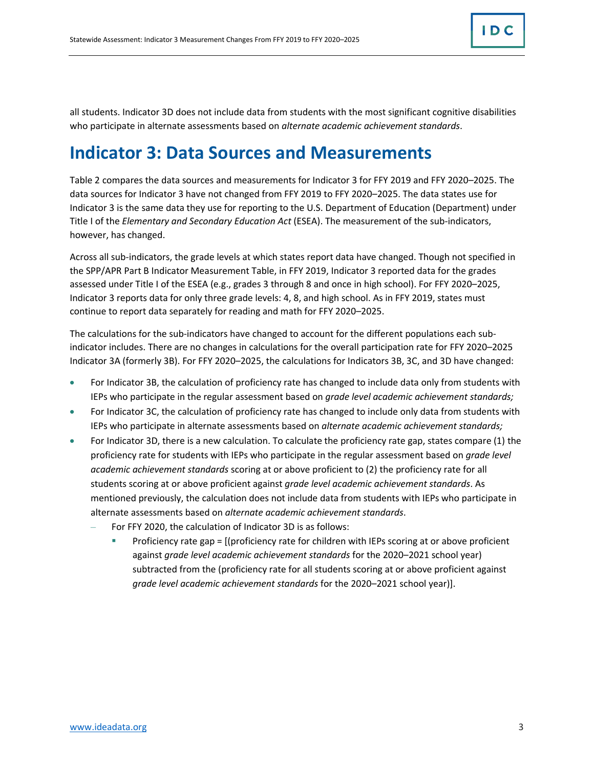all students. Indicator 3D does not include data from students with the most significant cognitive disabilities who participate in alternate assessments based on *alternate academic achievement standards*.

### **Indicator 3: Data Sources and Measurements**

Table 2 compares the data sources and measurements for Indicator 3 for FFY 2019 and FFY 2020–2025. The data sources for Indicator 3 have not changed from FFY 2019 to FFY 2020–2025. The data states use for Indicator 3 is the same data they use for reporting to the U.S. Department of Education (Department) under Title I of the *Elementary and Secondary Education Act* (ESEA). The measurement of the sub-indicators, however, has changed.

Across all sub-indicators, the grade levels at which states report data have changed. Though not specified in the SPP/APR Part B Indicator Measurement Table, in FFY 2019, Indicator 3 reported data for the grades assessed under Title I of the ESEA (e.g., grades 3 through 8 and once in high school). For FFY 2020–2025, Indicator 3 reports data for only three grade levels: 4, 8, and high school. As in FFY 2019, states must continue to report data separately for reading and math for FFY 2020–2025.

The calculations for the sub-indicators have changed to account for the different populations each subindicator includes. There are no changes in calculations for the overall participation rate for FFY 2020–2025 Indicator 3A (formerly 3B). For FFY 2020–2025, the calculations for Indicators 3B, 3C, and 3D have changed:

- For Indicator 3B, the calculation of proficiency rate has changed to include data only from students with IEPs who participate in the regular assessment based on *grade level academic achievement standards;*
- For Indicator 3C, the calculation of proficiency rate has changed to include only data from students with IEPs who participate in alternate assessments based on *alternate academic achievement standards;*
- For Indicator 3D, there is a new calculation. To calculate the proficiency rate gap, states compare (1) the proficiency rate for students with IEPs who participate in the regular assessment based on *grade level academic achievement standards* scoring at or above proficient to (2) the proficiency rate for all students scoring at or above proficient against *grade level academic achievement standards*. As mentioned previously, the calculation does not include data from students with IEPs who participate in alternate assessments based on *alternate academic achievement standards*.
	- For FFY 2020, the calculation of Indicator 3D is as follows:
		- Proficiency rate gap = [(proficiency rate for children with IEPs scoring at or above proficient against *grade level academic achievement standards* for the 2020–2021 school year) subtracted from the (proficiency rate for all students scoring at or above proficient against *grade level academic achievement standards* for the 2020–2021 school year)].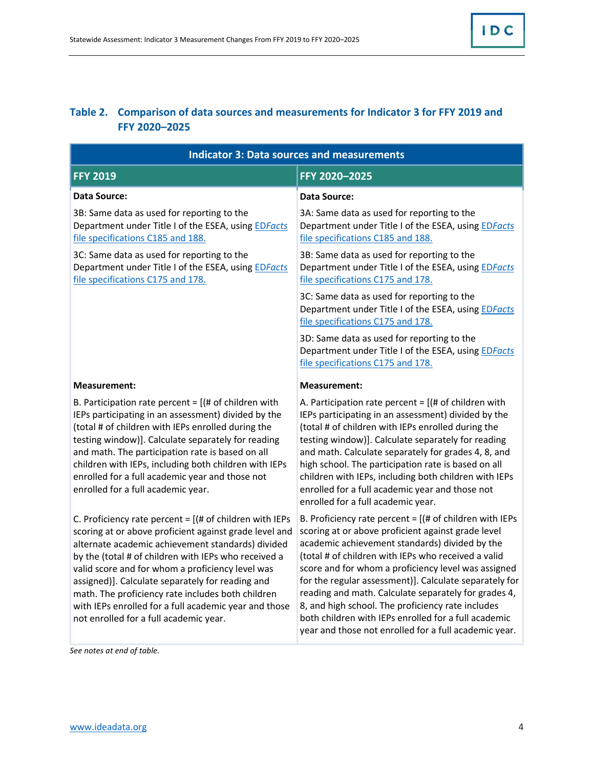### **Table 2. Comparison of data sources and measurements for Indicator 3 for FFY 2019 and FFY 2020–2025**

| <b>Indicator 3: Data sources and measurements</b>                                                                                                                                                                                                                                                                                                                                                                                                                                                  |                                                                                                                                                                                                                                                                                                                                                                                                                                                                                                                                                                           |  |
|----------------------------------------------------------------------------------------------------------------------------------------------------------------------------------------------------------------------------------------------------------------------------------------------------------------------------------------------------------------------------------------------------------------------------------------------------------------------------------------------------|---------------------------------------------------------------------------------------------------------------------------------------------------------------------------------------------------------------------------------------------------------------------------------------------------------------------------------------------------------------------------------------------------------------------------------------------------------------------------------------------------------------------------------------------------------------------------|--|
| <b>FFY 2019</b>                                                                                                                                                                                                                                                                                                                                                                                                                                                                                    | FFY 2020-2025                                                                                                                                                                                                                                                                                                                                                                                                                                                                                                                                                             |  |
| <b>Data Source:</b>                                                                                                                                                                                                                                                                                                                                                                                                                                                                                | <b>Data Source:</b>                                                                                                                                                                                                                                                                                                                                                                                                                                                                                                                                                       |  |
| 3B: Same data as used for reporting to the<br>Department under Title I of the ESEA, using <b>EDFacts</b><br>file specifications C185 and 188.                                                                                                                                                                                                                                                                                                                                                      | 3A: Same data as used for reporting to the<br>Department under Title I of the ESEA, using <b>EDFacts</b><br>file specifications C185 and 188.                                                                                                                                                                                                                                                                                                                                                                                                                             |  |
| 3C: Same data as used for reporting to the<br>Department under Title I of the ESEA, using <b>EDFacts</b><br>file specifications C175 and 178.                                                                                                                                                                                                                                                                                                                                                      | 3B: Same data as used for reporting to the<br>Department under Title I of the ESEA, using <b>EDFacts</b><br>file specifications C175 and 178.                                                                                                                                                                                                                                                                                                                                                                                                                             |  |
|                                                                                                                                                                                                                                                                                                                                                                                                                                                                                                    | 3C: Same data as used for reporting to the<br>Department under Title I of the ESEA, using <b>EDFacts</b><br>file specifications C175 and 178.                                                                                                                                                                                                                                                                                                                                                                                                                             |  |
|                                                                                                                                                                                                                                                                                                                                                                                                                                                                                                    | 3D: Same data as used for reporting to the<br>Department under Title I of the ESEA, using EDFacts<br>file specifications C175 and 178.                                                                                                                                                                                                                                                                                                                                                                                                                                    |  |
| <b>Measurement:</b>                                                                                                                                                                                                                                                                                                                                                                                                                                                                                | <b>Measurement:</b>                                                                                                                                                                                                                                                                                                                                                                                                                                                                                                                                                       |  |
| B. Participation rate percent = $[(# of children with$<br>IEPs participating in an assessment) divided by the<br>(total # of children with IEPs enrolled during the<br>testing window)]. Calculate separately for reading<br>and math. The participation rate is based on all<br>children with IEPs, including both children with IEPs<br>enrolled for a full academic year and those not<br>enrolled for a full academic year.                                                                    | A. Participation rate percent = $[(# of children with$<br>IEPs participating in an assessment) divided by the<br>(total # of children with IEPs enrolled during the<br>testing window)]. Calculate separately for reading<br>and math. Calculate separately for grades 4, 8, and<br>high school. The participation rate is based on all<br>children with IEPs, including both children with IEPs<br>enrolled for a full academic year and those not<br>enrolled for a full academic year.                                                                                 |  |
| C. Proficiency rate percent = $[(# of children with IEPs])$<br>scoring at or above proficient against grade level and<br>alternate academic achievement standards) divided<br>by the (total # of children with IEPs who received a<br>valid score and for whom a proficiency level was<br>assigned)]. Calculate separately for reading and<br>math. The proficiency rate includes both children<br>with IEPs enrolled for a full academic year and those<br>not enrolled for a full academic year. | B. Proficiency rate percent = $[(# of children with IEPs])$<br>scoring at or above proficient against grade level<br>academic achievement standards) divided by the<br>(total # of children with IEPs who received a valid<br>score and for whom a proficiency level was assigned<br>for the regular assessment)]. Calculate separately for<br>reading and math. Calculate separately for grades 4,<br>8, and high school. The proficiency rate includes<br>both children with IEPs enrolled for a full academic<br>year and those not enrolled for a full academic year. |  |

*See notes at end of table.*